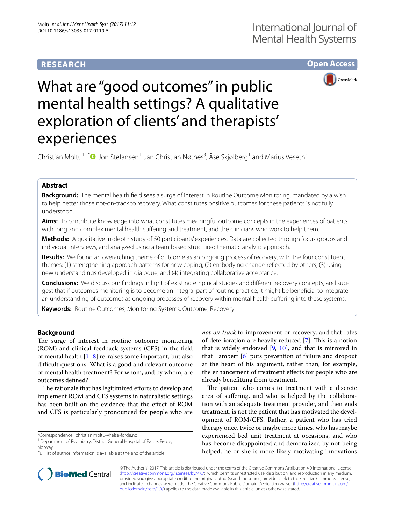# **RESEARCH**

## **Open Access**



# What are "good outcomes" in public mental health settings? A qualitative exploration of clients' and therapists' experiences

Christian Moltu<sup>1[,](http://orcid.org/0000-0003-3269-6383)2\*</sup>®, Jon Stefansen<sup>1</sup>, Jan Christian Nøtnes<sup>3</sup>, Åse Skjølberg<sup>1</sup> and Marius Veseth<sup>2</sup>

## **Abstract**

**Background:** The mental health field sees a surge of interest in Routine Outcome Monitoring, mandated by a wish to help better those not-on-track to recovery. What constitutes positive outcomes for these patients is not fully understood.

**Aims:** To contribute knowledge into what constitutes meaningful outcome concepts in the experiences of patients with long and complex mental health suffering and treatment, and the clinicians who work to help them.

**Methods:** A qualitative in-depth study of 50 participants' experiences. Data are collected through focus groups and individual interviews, and analyzed using a team based structured thematic analytic approach.

**Results:** We found an overarching theme of outcome as an ongoing process of recovery, with the four constituent themes: (1) strengthening approach patterns for new coping; (2) embodying change reflected by others; (3) using new understandings developed in dialogue; and (4) integrating collaborative acceptance.

**Conclusions:** We discuss our findings in light of existing empirical studies and different recovery concepts, and suggest that if outcomes monitoring is to become an integral part of routine practice, it might be beneficial to integrate an understanding of outcomes as ongoing processes of recovery within mental health suffering into these systems.

**Keywords:** Routine Outcomes, Monitoring Systems, Outcome, Recovery

## **Background**

The surge of interest in routine outcome monitoring (ROM) and clinical feedback systems (CFS) in the field of mental health  $[1-8]$  $[1-8]$  $[1-8]$  re-raises some important, but also difficult questions: What is a good and relevant outcome of mental health treatment? For whom, and by whom, are outcomes defined?

The rationale that has legitimized efforts to develop and implement ROM and CFS systems in naturalistic settings has been built on the evidence that the effect of ROM and CFS is particularly pronounced for people who are

\*Correspondence: christian.moltu@helse-forde.no 1

*not*-*on*-*track* to improvement or recovery, and that rates of deterioration are heavily reduced [[7\]](#page-8-1). This is a notion that is widely endorsed  $[9, 10]$  $[9, 10]$  $[9, 10]$ , and that is mirrored in that Lambert [[6\]](#page-8-2) puts prevention of failure and dropout at the heart of his argument, rather than, for example, the enhancement of treatment effects for people who are already benefitting from treatment.

The patient who comes to treatment with a discrete area of suffering, and who is helped by the collaboration with an adequate treatment provider, and then ends treatment, is not the patient that has motivated the development of ROM/CFS. Rather, a patient who has tried therapy once, twice or maybe more times, who has maybe experienced bed unit treatment at occasions, and who has become disappointed and demoralized by not being helped, he or she is more likely motivating innovations



© The Author(s) 2017. This article is distributed under the terms of the Creative Commons Attribution 4.0 International License [\(http://creativecommons.org/licenses/by/4.0/\)](http://creativecommons.org/licenses/by/4.0/), which permits unrestricted use, distribution, and reproduction in any medium, provided you give appropriate credit to the original author(s) and the source, provide a link to the Creative Commons license, and indicate if changes were made. The Creative Commons Public Domain Dedication waiver ([http://creativecommons.org/](http://creativecommons.org/publicdomain/zero/1.0/) [publicdomain/zero/1.0/](http://creativecommons.org/publicdomain/zero/1.0/)) applies to the data made available in this article, unless otherwise stated.

<sup>&</sup>lt;sup>1</sup> Department of Psychiatry, District General Hospital of Førde, Førde, Norway

Full list of author information is available at the end of the article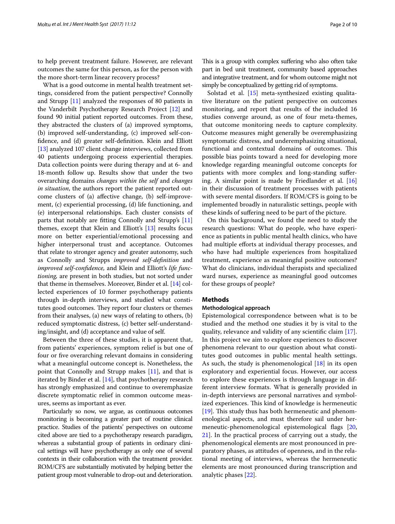to help prevent treatment failure. However, are relevant outcomes the same for this person, as for the person with the more short-term linear recovery process?

What is a good outcome in mental health treatment settings, considered from the patient perspective? Connolly and Strupp [\[11\]](#page-9-3) analyzed the responses of 80 patients in the Vanderbilt Psychotherapy Research Project [[12\]](#page-9-4) and found 90 initial patient reported outcomes. From these, they abstracted the clusters of (a) improved symptoms, (b) improved self-understanding, (c) improved self-confidence, and (d) greater self-definition. Klein and Elliott [[13\]](#page-9-5) analyzed 107 client change interviews, collected from 40 patients undergoing process experiential therapies. Data collection points were during therapy and at 6- and 18-month follow up. Results show that under the two overarching domains *changes within the self* and *changes in situation*, the authors report the patient reported outcome clusters of (a) affective change, (b) self-improvement, (c) experiential processing, (d) life functioning, and (e) interpersonal relationships. Each cluster consists of parts that notably are fitting Connolly and Strupp's [[11](#page-9-3)] themes, except that Klein and Elliott's [[13\]](#page-9-5) results focus more on better experiential/emotional processing and higher interpersonal trust and acceptance. Outcomes that relate to stronger agency and greater autonomy, such as Connolly and Strupps *improved self*-*definition* and *improved self*-*confidence,* and Klein and Elliott's *life functioning,* are present in both studies, but not sorted under that theme in themselves. Moreover, Binder et al. [[14\]](#page-9-6) collected experiences of 10 former psychotherapy patients through in-depth interviews, and studied what constitutes good outcomes. They report four clusters or themes from their analyses, (a) new ways of relating to others, (b) reduced symptomatic distress, (c) better self-understanding/insight, and (d) acceptance and value of self.

Between the three of these studies, it is apparent that, from patients' experiences, symptom relief is but one of four or five overarching relevant domains in considering what a meaningful outcome concept is. Nonetheless, the point that Connolly and Strupp makes [\[11](#page-9-3)], and that is iterated by Binder et al. [[14](#page-9-6)], that psychotherapy research has strongly emphasized and continue to overemphasize discrete symptomatic relief in common outcome measures, seems as important as ever.

Particularly so now, we argue, as continuous outcomes monitoring is becoming a greater part of routine clinical practice. Studies of the patients' perspectives on outcome cited above are tied to a psychotherapy research paradigm, whereas a substantial group of patients in ordinary clinical settings will have psychotherapy as only one of several contexts in their collaboration with the treatment provider. ROM/CFS are substantially motivated by helping better the patient group most vulnerable to drop-out and deterioration.

This is a group with complex suffering who also often take part in bed unit treatment, community based approaches and integrative treatment, and for whom outcome might not simply be conceptualized by getting rid of symptoms.

Solstad et al. [[15](#page-9-7)] meta-synthesized existing qualitative literature on the patient perspective on outcomes monitoring, and report that results of the included 16 studies converge around, as one of four meta-themes, that outcome monitoring needs to capture complexity. Outcome measures might generally be overemphasizing symptomatic distress, and underemphasizing situational, functional and contextual domains of outcomes. This possible bias points toward a need for developing more knowledge regarding meaningful outcome concepts for patients with more complex and long-standing suffering. A similar point is made by Friedlander et al. [[16](#page-9-8)] in their discussion of treatment processes with patients with severe mental disorders. If ROM/CFS is going to be implemented broadly in naturalistic settings, people with these kinds of suffering need to be part of the picture.

On this background, we found the need to study the research questions: What do people, who have experience as patients in public mental health clinics, who have had multiple efforts at individual therapy processes, and who have had multiple experiences from hospitalized treatment, experience as meaningful positive outcomes? What do clinicians, individual therapists and specialized ward nurses, experience as meaningful good outcomes for these groups of people?

#### **Methods**

#### **Methodological approach**

Epistemological correspondence between what is to be studied and the method one studies it by is vital to the quality, relevance and validity of any scientific claim [\[17](#page-9-9)]. In this project we aim to explore experiences to discover phenomena relevant to our question about what constitutes good outcomes in public mental health settings. As such, the study is phenomenological [\[18](#page-9-10)] in its open exploratory and experiential focus. However, our access to explore these experiences is through language in different interview formats. What is generally provided in in-depth interviews are personal narratives and symbolized experiences. This kind of knowledge is hermeneutic [[19\]](#page-9-11). This study thus has both hermeneutic and phenomenological aspects, and must therefore sail under hermeneutic-phenomenological epistemological flags [[20](#page-9-12), [21\]](#page-9-13). In the practical process of carrying out a study, the phenomenological elements are most pronounced in preparatory phases, as attitudes of openness, and in the relational meeting of interviews, whereas the hermeneutic elements are most pronounced during transcription and analytic phases [[22\]](#page-9-14).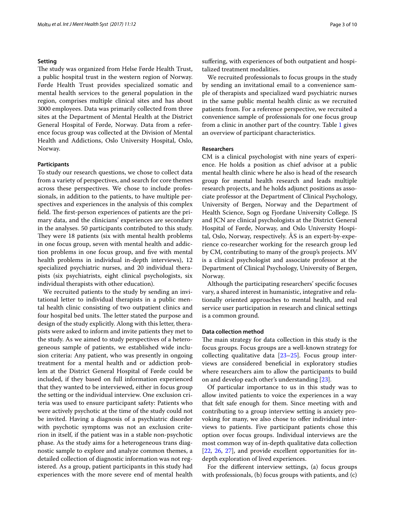#### **Setting**

The study was organized from Helse Førde Health Trust, a public hospital trust in the western region of Norway. Førde Health Trust provides specialized somatic and mental health services to the general population in the region, comprises multiple clinical sites and has about 3000 employees. Data was primarily collected from three sites at the Department of Mental Health at the District General Hospital of Førde, Norway. Data from a reference focus group was collected at the Division of Mental Health and Addictions, Oslo University Hospital, Oslo, Norway.

#### **Participants**

To study our research questions, we chose to collect data from a variety of perspectives, and search for core themes across these perspectives. We chose to include professionals, in addition to the patients, to have multiple perspectives and experiences in the analysis of this complex field. The first-person experiences of patients are the primary data, and the clinicians' experiences are secondary in the analyses. 50 participants contributed to this study. They were 18 patients (six with mental health problems in one focus group, seven with mental health and addiction problems in one focus group, and five with mental health problems in individual in-depth interviews), 12 specialized psychiatric nurses, and 20 individual therapists (six psychiatrists, eight clinical psychologists, six individual therapists with other education).

We recruited patients to the study by sending an invitational letter to individual therapists in a public mental health clinic consisting of two outpatient clinics and four hospital bed units. The letter stated the purpose and design of the study explicitly. Along with this letter, therapists were asked to inform and invite patients they met to the study. As we aimed to study perspectives of a heterogeneous sample of patients, we established wide inclusion criteria: Any patient, who was presently in ongoing treatment for a mental health and or addiction problem at the District General Hospital of Førde could be included, if they based on full information experienced that they wanted to be interviewed, either in focus group the setting or the individual interview. One exclusion criteria was used to ensure participant safety: Patients who were actively psychotic at the time of the study could not be invited. Having a diagnosis of a psychiatric disorder with psychotic symptoms was not an exclusion criterion in itself, if the patient was in a stable non-psychotic phase. As the study aims for a heterogeneous trans diagnostic sample to explore and analyze common themes, a detailed collection of diagnostic information was not registered. As a group, patient participants in this study had experiences with the more severe end of mental health suffering, with experiences of both outpatient and hospitalized treatment modalities.

We recruited professionals to focus groups in the study by sending an invitational email to a convenience sample of therapists and specialized ward psychiatric nurses in the same public mental health clinic as we recruited patients from. For a reference perspective, we recruited a convenience sample of professionals for one focus group from a clinic in another part of the country. Table [1](#page-8-3) gives an overview of participant characteristics.

#### **Researchers**

CM is a clinical psychologist with nine years of experience. He holds a position as chief advisor at a public mental health clinic where he also is head of the research group for mental health research and leads multiple research projects, and he holds adjunct positions as associate professor at the Department of Clinical Psychology, University of Bergen, Norway and the Department of Health Science, Sogn og Fjordane University College. JS and JCN are clinical psychologists at the District General Hospital of Førde, Norway, and Oslo University Hospital, Oslo, Norway, respectively. ÅS is an expert-by-experience co-researcher working for the research group led by CM, contributing to many of the group's projects. MV is a clinical psychologist and associate professor at the Department of Clinical Psychology, University of Bergen, Norway.

Although the participating researchers' specific focuses vary, a shared interest in humanistic, integrative and relationally oriented approaches to mental health, and real service user participation in research and clinical settings is a common ground.

#### **Data collection method**

The main strategy for data collection in this study is the focus groups. Focus groups are a well-known strategy for collecting qualitative data [\[23](#page-9-15)[–25\]](#page-9-16). Focus group interviews are considered beneficial in exploratory studies where researchers aim to allow the participants to build on and develop each other's understanding [[23\]](#page-9-15).

Of particular importance to us in this study was to allow invited patients to voice the experiences in a way that felt safe enough for them. Since meeting with and contributing to a group interview setting is anxiety provoking for many, we also chose to offer individual interviews to patients. Five participant patients chose this option over focus groups. Individual interviews are the most common way of in-depth qualitative data collection [[22,](#page-9-14) [26,](#page-9-17) [27](#page-9-18)], and provide excellent opportunities for indepth exploration of lived experiences.

For the different interview settings, (a) focus groups with professionals, (b) focus groups with patients, and (c)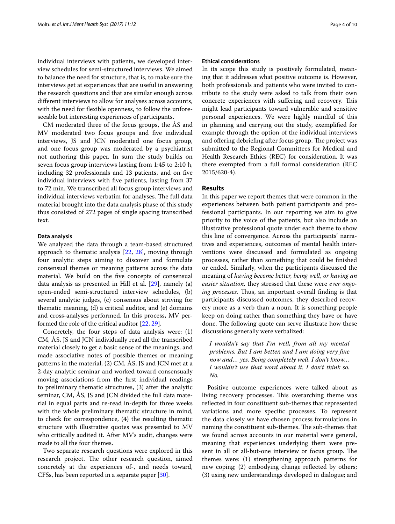individual interviews with patients, we developed interview schedules for semi-structured interviews. We aimed to balance the need for structure, that is, to make sure the interviews get at experiences that are useful in answering the research questions and that are similar enough across different interviews to allow for analyses across accounts, with the need for flexible openness, to follow the unforeseeable but interesting experiences of participants.

CM moderated three of the focus groups, the ÅS and MV moderated two focus groups and five individual interviews, JS and JCN moderated one focus group, and one focus group was moderated by a psychiatrist not authoring this paper. In sum the study builds on seven focus group interviews lasting from 1:45 to 2:10 h, including 32 professionals and 13 patients, and on five individual interviews with five patients, lasting from 37 to 72 min. We transcribed all focus group interviews and individual interviews verbatim for analyses. The full data material brought into the data analysis phase of this study thus consisted of 272 pages of single spacing transcribed text.

#### **Data analysis**

We analyzed the data through a team-based structured approach to thematic analysis [[22](#page-9-14), [28](#page-9-19)], moving through four analytic steps aiming to discover and formulate consensual themes or meaning patterns across the data material. We build on the five concepts of consensual data analysis as presented in Hill et al. [[29](#page-9-20)], namely (a) open-ended semi-structured interview schedules, (b) several analytic judges, (c) consensus about striving for thematic meaning, (d) a critical auditor, and (e) domains and cross-analyses performed. In this process, MV performed the role of the critical auditor [\[22,](#page-9-14) [29](#page-9-20)].

Concretely, the four steps of data analysis were: (1) CM, ÅS, JS and JCN individually read all the transcribed material closely to get a basic sense of the meanings, and made associative notes of possible themes or meaning patterns in the material, (2) CM, ÅS, JS and JCN met at a 2-day analytic seminar and worked toward consensually moving associations from the first individual readings to preliminary thematic structures, (3) after the analytic seminar, CM, ÅS, JS and JCN divided the full data material in equal parts and re-read in-depth for three weeks with the whole preliminary thematic structure in mind, to check for correspondence, (4) the resulting thematic structure with illustrative quotes was presented to MV who critically audited it. After MV's audit, changes were made to all the four themes.

Two separate research questions were explored in this research project. The other research question, aimed concretely at the experiences of-, and needs toward, CFSs, has been reported in a separate paper [[30\]](#page-9-21).

## **Ethical considerations**

In its scope this study is positively formulated, meaning that it addresses what positive outcome is. However, both professionals and patients who were invited to contribute to the study were asked to talk from their own concrete experiences with suffering and recovery. This might lead participants toward vulnerable and sensitive personal experiences. We were highly mindful of this in planning and carrying out the study, exemplified for example through the option of the individual interviews and offering debriefing after focus group. The project was submitted to the Regional Committees for Medical and Health Research Ethics (REC) for consideration. It was there exempted from a full formal consideration (REC 2015/620-4).

### **Results**

In this paper we report themes that were common in the experiences between both patient participants and professional participants. In our reporting we aim to give priority to the voice of the patients, but also include an illustrative professional quote under each theme to show this line of convergence. Across the participants' narratives and experiences, outcomes of mental health interventions were discussed and formulated as ongoing processes, rather than something that could be finished or ended. Similarly, when the participants discussed the meaning of *having become better, being well, or having an easier situation,* they stressed that these were *ever ongoing processes.* Thus, an important overall finding is that participants discussed outcomes, they described recovery more as a verb than a noun. It is something people keep on doing rather than something they have or have done. The following quote can serve illustrate how these discussions generally were verbalized:

*I wouldn't say that I'm well, from all my mental problems. But I am better, and I am doing very fine now and… yes. Being completely well, I don't know… I wouldn't use that word about it. I don't think so. No.*

Positive outcome experiences were talked about as living recovery processes. This overarching theme was reflected in four constituent sub-themes that represented variations and more specific processes. To represent the data closely we have chosen process formulations in naming the constituent sub-themes. The sub-themes that we found across accounts in our material were general, meaning that experiences underlying them were present in all or all-but-one interview or focus group. The themes were: (1) strengthening approach patterns for new coping; (2) embodying change reflected by others; (3) using new understandings developed in dialogue; and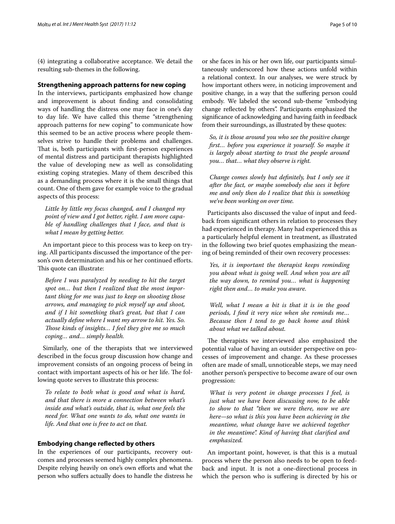(4) integrating a collaborative acceptance. We detail the resulting sub-themes in the following.

### **Strengthening approach patterns for new coping**

In the interviews, participants emphasized how change and improvement is about finding and consolidating ways of handling the distress one may face in one's day to day life. We have called this theme "strengthening approach patterns for new coping" to communicate how this seemed to be an active process where people themselves strive to handle their problems and challenges. That is, both participants with first-person experiences of mental distress and participant therapists highlighted the value of developing new as well as consolidating existing coping strategies. Many of them described this as a demanding process where it is the small things that count. One of them gave for example voice to the gradual aspects of this process:

*Little by little my focus changed, and I changed my point of view and I got better, right. I am more capable of handling challenges that I face, and that is what I mean by getting better.*

An important piece to this process was to keep on trying. All participants discussed the importance of the person's own determination and his or her continued efforts. This quote can illustrate:

*Before I was paralyzed by needing to hit the target spot on… but then I realized that the most important thing for me was just to keep on shooting those arrows, and managing to pick myself up and shoot, and if I hit something that's great, but that I can actually define where I want my arrow to hit. Yes. So. Those kinds of insights… I feel they give me so much coping… and… simply health.*

Similarly, one of the therapists that we interviewed described in the focus group discussion how change and improvement consists of an ongoing process of being in contact with important aspects of his or her life. The following quote serves to illustrate this process:

*To relate to both what is good and what is hard, and that there is more a connection between what's inside and what's outside, that is, what one feels the need for. What one wants to do, what one wants in life. And that one is free to act on that.*

#### **Embodying change reflected by others**

In the experiences of our participants, recovery outcomes and processes seemed highly complex phenomena. Despite relying heavily on one's own efforts and what the person who suffers actually does to handle the distress he

or she faces in his or her own life, our participants simultaneously underscored how these actions unfold within a relational context. In our analyses, we were struck by how important others were, in noticing improvement and positive change, in a way that the suffering person could embody. We labeled the second sub-theme "embodying change reflected by others". Participants emphasized the significance of acknowledging and having faith in feedback from their surroundings, as illustrated by these quotes:

*So, it is those around you who see the positive change first… before you experience it yourself. So maybe it is largely about starting to trust the people around you… that… what they observe is right.*

*Change comes slowly but definitely, but I only see it after the fact, or maybe somebody else sees it before me and only then do I realize that this is something we've been working on over time.*

Participants also discussed the value of input and feedback from significant others in relation to processes they had experienced in therapy. Many had experienced this as a particularly helpful element in treatment, as illustrated in the following two brief quotes emphasizing the meaning of being reminded of their own recovery processes:

*Yes, it is important the therapist keeps reminding you about what is going well. And when you are all the way down, to remind you… what is happening right then and… to make you aware.*

*Well, what I mean a bit is that it is in the good periods, I find it very nice when she reminds me… Because then I tend to go back home and think about what we talked about.*

The therapists we interviewed also emphasized the potential value of having an outsider perspective on processes of improvement and change. As these processes often are made of small, unnoticeable steps, we may need another person's perspective to become aware of our own progression:

*What is very potent in change processes I feel, is just what we have been discussing now, to be able to show to that "then we were there, now we are here—so what is this you have been achieving in the meantime, what change have we achieved together in the meantime". Kind of having that clarified and emphasized.*

An important point, however, is that this is a mutual process where the person also needs to be open to feedback and input. It is not a one-directional process in which the person who is suffering is directed by his or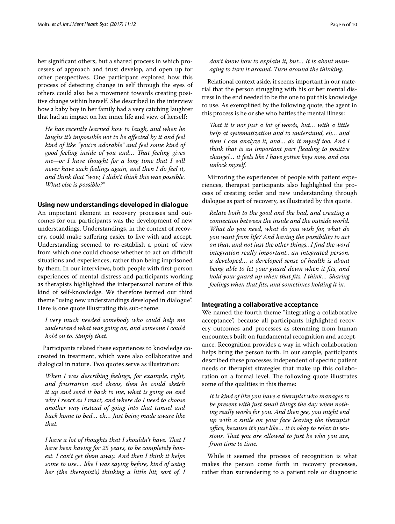her significant others, but a shared process in which processes of approach and trust develop, and open up for other perspectives. One participant explored how this process of detecting change in self through the eyes of others could also be a movement towards creating positive change within herself. She described in the interview how a baby boy in her family had a very catching laughter that had an impact on her inner life and view of herself:

*He has recently learned how to laugh, and when he laughs it's impossible not to be affected by it and feel kind of like "you're adorable" and feel some kind of good feeling inside of you and… That feeling gives me—or I have thought for a long time that I will never have such feelings again, and then I do feel it, and think that "wow, I didn't think this was possible. What else is possible?"*

#### **Using new understandings developed in dialogue**

An important element in recovery processes and outcomes for our participants was the development of new understandings. Understandings, in the context of recovery, could make suffering easier to live with and accept. Understanding seemed to re-establish a point of view from which one could choose whether to act on difficult situations and experiences, rather than being imprisoned by them. In our interviews, both people with first-person experiences of mental distress and participants working as therapists highlighted the interpersonal nature of this kind of self-knowledge. We therefore termed our third theme "using new understandings developed in dialogue". Here is one quote illustrating this sub-theme:

*I very much needed somebody who could help me understand what was going on, and someone I could hold on to. Simply that.*

Participants related these experiences to knowledge cocreated in treatment, which were also collaborative and dialogical in nature. Two quotes serve as illustration:

*When I was describing feelings, for example, right, and frustration and chaos, then he could sketch it up and send it back to me, what is going on and why I react as I react, and where do I need to choose another way instead of going into that tunnel and back home to bed… eh… Just being made aware like that.*

*I have a lot of thoughts that I shouldn't have. That I have been having for 25 years, to be completely honest. I can't get them away. And then I think it helps some to use… like I was saying before, kind of using her (the therapist's) thinking a little bit, sort of. I* 

## *don't know how to explain it, but… It is about managing to turn it around. Turn around the thinking.*

Relational context aside, it seems important in our material that the person struggling with his or her mental distress in the end needed to be the one to put this knowledge to use. As exemplified by the following quote, the agent in this process is he or she who battles the mental illness:

*That it is not just a lot of words, but… with a little help at systematization and to understand, eh… and then I can analyze it, and… do it myself too. And I think that is an important part [leading to positive change]… it feels like I have gotten keys now, and can unlock myself.*

Mirroring the experiences of people with patient experiences, therapist participants also highlighted the process of creating order and new understanding through dialogue as part of recovery, as illustrated by this quote.

*Relate both to the good and the bad, and creating a connection between the inside and the outside world. What do you need, what do you wish for, what do you want from life? And having the possibility to act on that, and not just the other things.. I find the word integration really important.. an integrated person, a developed… a developed sense of health is about being able to let your guard down when it fits, and hold your guard up when that fits, I think… Sharing feelings when that fits, and sometimes holding it in.*

#### **Integrating a collaborative acceptance**

We named the fourth theme "integrating a collaborative acceptance", because all participants highlighted recovery outcomes and processes as stemming from human encounters built on fundamental recognition and acceptance. Recognition provides a way in which collaboration helps bring the person forth. In our sample, participants described these processes independent of specific patient needs or therapist strategies that make up this collaboration on a formal level. The following quote illustrates some of the qualities in this theme:

*It is kind of like you have a therapist who manages to be present with just small things the day when nothing really works for you. And then gee, you might end up with a smile on your face leaving the therapist office, because it's just like… it is okay to relax in sessions. That you are allowed to just be who you are, from time to time.*

While it seemed the process of recognition is what makes the person come forth in recovery processes, rather than surrendering to a patient role or diagnostic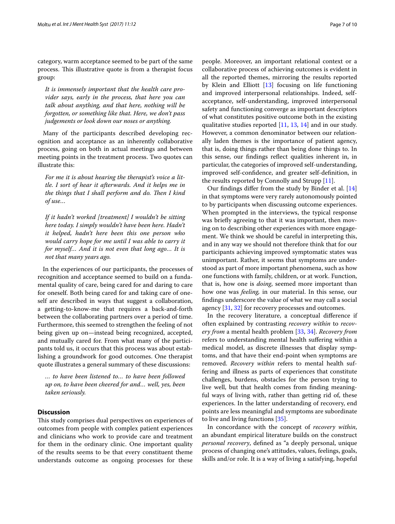category, warm acceptance seemed to be part of the same process. This illustrative quote is from a therapist focus group:

*It is immensely important that the health care provider says, early in the process, that here you can talk about anything, and that here, nothing will be forgotten, or something like that. Here, we don't pass judgements or look down our noses or anything.*

Many of the participants described developing recognition and acceptance as an inherently collaborative process, going on both in actual meetings and between meeting points in the treatment process. Two quotes can illustrate this:

*For me it is about hearing the therapist's voice a little. I sort of hear it afterwards. And it helps me in the things that I shall perform and do. Then I kind of use…*

*If it hadn't worked [treatment] I wouldn't be sitting here today. I simply wouldn't have been here. Hadn't it helped, hadn't here been this one person who would carry hope for me until I was able to carry it for myself… And it is not even that long ago… It is not that many years ago.*

In the experiences of our participants, the processes of recognition and acceptance seemed to build on a fundamental quality of care, being cared for and daring to care for oneself. Both being cared for and taking care of oneself are described in ways that suggest a collaboration, a getting-to-know-me that requires a back-and-forth between the collaborating partners over a period of time. Furthermore, this seemed to strengthen the feeling of not being given up on—instead being recognized, accepted, and mutually cared for. From what many of the participants told us, it occurs that this process was about establishing a groundwork for good outcomes. One therapist quote illustrates a general summary of these discussions:

*… to have been listened to… to have been followed up on, to have been cheered for and… well, yes, been taken seriously.*

#### **Discussion**

This study comprises dual perspectives on experiences of outcomes from people with complex patient experiences and clinicians who work to provide care and treatment for them in the ordinary clinic. One important quality of the results seems to be that every constituent theme understands outcome as ongoing processes for these

people. Moreover, an important relational context or a collaborative process of achieving outcomes is evident in all the reported themes, mirroring the results reported by Klein and Elliott [[13\]](#page-9-5) focusing on life functioning and improved interpersonal relationships. Indeed, selfacceptance, self-understanding, improved interpersonal safety and functioning converge as important descriptors of what constitutes positive outcome both in the existing qualitative studies reported [\[11](#page-9-3), [13](#page-9-5), [14\]](#page-9-6) and in our study. However, a common denominator between our relationally laden themes is the importance of patient agency, that is, doing things rather than being done things to. In this sense, our findings reflect qualities inherent in, in particular, the categories of improved self-understanding, improved self-confidence, and greater self-definition, in the results reported by Connolly and Strupp [\[11](#page-9-3)].

Our findings differ from the study by Binder et al. [[14](#page-9-6)] in that symptoms were very rarely autonomously pointed to by participants when discussing outcome experiences. When prompted in the interviews, the typical response was briefly agreeing to that it was important, then moving on to describing other experiences with more engagement. We think we should be careful in interpreting this, and in any way we should not therefore think that for our participants achieving improved symptomatic states was unimportant. Rather, it seems that symptoms are understood as part of more important phenomena, such as how one functions with family, children, or at work. Function, that is, how one is *doing*, seemed more important than how one was *feeling,* in our material. In this sense, our findings underscore the value of what we may call a social agency [\[31](#page-9-22), [32\]](#page-9-23) for recovery processes and outcomes.

In the recovery literature, a conceptual difference if often explained by contrasting *recovery within* to *recovery from* a mental health problem [\[33](#page-9-24), [34](#page-9-25)]. *Recovery from* refers to understanding mental health suffering within a medical model, as discrete illnesses that display symptoms, and that have their end-point when symptoms are removed. *Recovery within* refers to mental health suffering and illness as parts of experiences that constitute challenges, burdens, obstacles for the person trying to live well, but that health comes from finding meaningful ways of living with, rather than getting rid of, these experiences. In the latter understanding of recovery, end points are less meaningful and symptoms are subordinate to live and living functions [\[35](#page-9-26)].

In concordance with the concept of *recovery within*, an abundant empirical literature builds on the construct *personal recovery*, defined as "a deeply personal, unique process of changing one's attitudes, values, feelings, goals, skills and/or role. It is a way of living a satisfying, hopeful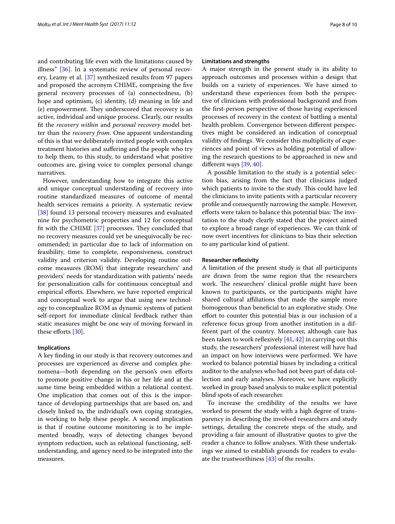and contributing life even with the limitations caused by illness" [\[36\]](#page-9-27). In a systematic review of personal recovery, Leamy et al. [[37\]](#page-9-28) synthesized results from 97 papers and proposed the acronym CHIME, comprising the five general recovery processes of (a) connectedness, (b) hope and optimism, (c) identity, (d) meaning in life and (e) empowerment. They underscored that recovery is an active, individual and unique process. Clearly, our results fit the *recovery within* and *personal recovery* model better than the *recovery from*. One apparent understanding of this is that we deliberately invited people with complex treatment histories and suffering and the people who try to help them, to this study, to understand what positive outcomes are, giving voice to complex personal change narratives.

However, understanding how to integrate this active and unique conceptual understanding of recovery into routine standardized measures of outcome of mental health services remains a priority. A systematic review [[38\]](#page-9-29) found 13 personal recovery measures and evaluated nine for psychometric properties and 12 for conceptual fit with the CHIME [[37\]](#page-9-28) processes. They concluded that no recovery measures could yet be unequivocally be recommended; in particular due to lack of information on feasibility, time to complete, responsiveness, construct validity and criterion validity. Developing routine outcome measures (ROM) that integrate researchers' and providers' needs for standardization with patients' needs for personalization calls for continuous conceptual and empirical efforts. Elsewhere, we have reported empirical and conceptual work to argue that using new technology to conceptualize ROM as dynamic systems of patient self-report for immediate clinical feedback rather than static measures might be one way of moving forward in these efforts [\[30](#page-9-21)].

#### **Implications**

A key finding in our study is that recovery outcomes and processes are experienced as diverse and complex phenomena—both depending on the person's own efforts to promote positive change in his or her life and at the same time being embedded within a relational context. One implication that comes out of this is the importance of developing partnerships that are based on, and closely linked to, the individual's own coping strategies, in working to help these people. A second implication is that if routine outcome monitoring is to be implemented broadly, ways of detecting changes beyond symptom reduction, such as relational functioning, selfunderstanding, and agency need to be integrated into the measures.

#### **Limitations and strengths**

A major strength in the present study is its ability to approach outcomes and processes within a design that builds on a variety of experiences. We have aimed to understand these experiences from both the perspective of clinicians with professional background and from the first-person perspective of those having experienced processes of recovery in the context of battling a mental health problem. Convergence between different perspectives might be considered an indication of conceptual validity of findings. We consider this multiplicity of experiences and point of views as holding potential of allowing the research questions to be approached in new and different ways [\[39,](#page-9-30) [40](#page-9-31)].

A possible limitation to the study is a potential selection bias, arising from the fact that clinicians judged which patients to invite to the study. This could have led the clinicians to invite patients with a particular recovery profile and consequently narrowing the sample. However, efforts were taken to balance this potential bias: The invitation to the study clearly stated that the project aimed to explore a broad range of experiences. We can think of now overt incentives for clinicians to bias their selection to any particular kind of patient.

#### **Researcher reflexivity**

A limitation of the present study is that all participants are drawn from the same region that the researchers work. The researchers' clinical profile might have been known to participants, or the participants might have shared cultural affiliations that made the sample more homogenous than beneficial to an explorative study. One effort to counter this potential bias is our inclusion of a reference focus group from another institution in a different part of the country. Moreover, although care has been taken to work reflexively [\[41](#page-9-32), [42\]](#page-9-33) in carrying out this study, the researchers' professional interest will have had an impact on how interviews were performed. We have worked to balance potential biases by including a critical auditor to the analyses who had not been part of data collection and early analyses. Moreover, we have explicitly worked in group based analysis to make explicit potential blind spots of each researcher.

To increase the credibility of the results we have worked to present the study with a high degree of transparency in describing the involved researchers and study settings, detailing the concrete steps of the study, and providing a fair amount of illustrative quotes to give the reader a chance to follow analyses. With these undertakings we aimed to establish grounds for readers to evaluate the trustworthiness [\[43](#page-9-34)] of the results.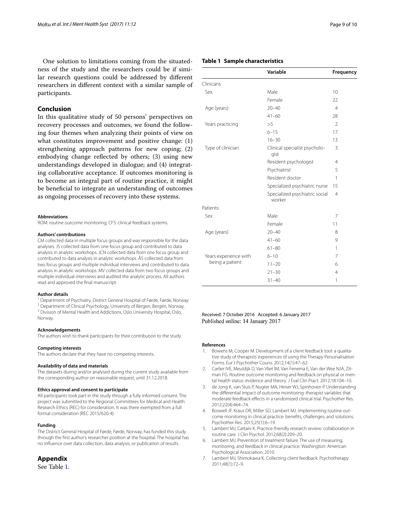One solution to limitations coming from the situatedness of the study and the researchers could be if similar research questions could be addressed by different researchers in different context with a similar sample of participants.

#### **Conclusion**

In this qualitative study of 50 persons' perspectives on recovery processes and outcomes, we found the following four themes when analyzing their points of view on what constitutes improvement and positive change: (1) strengthening approach patterns for new coping; (2) embodying change reflected by others; (3) using new understandings developed in dialogue; and (4) integrating collaborative acceptance. If outcomes monitoring is to become an integral part of routine practice, it might be beneficial to integrate an understanding of outcomes as ongoing processes of recovery into these systems.

#### **Abbreviations**

ROM: routine outcome monitoring; CFS: clinical feedback systems.

#### **Authors' contributions**

CM collected data in multiple focus groups and was responsible for the data analyses. JS collected data from one focus group and contributed to data analysis in analytic workshops. JCN collected data from one focus group and contributed to data analysis in analytic workshops. ÅS collected data from two focus groups and multiple individual interviews and contributed to data analysis in analytic workshops. MV collected data from two focus groups and multiple individual interviews and audited the analytic process. All authors read and approved the final manuscript.

#### **Author details**

<sup>1</sup> Department of Psychiatry, District General Hospital of Førde, Førde, Norway.<br><sup>2</sup> Department of Clinical Psychology, University of Bergen, Bergen, Norway.<br><sup>3</sup> Division of Mental Health and Addictions, Oslo University Ho Norway.

#### **Acknowledgements**

The authors wish to thank participants for their contribution to the study.

#### **Competing interests**

The authors declare that they have no competing interests.

#### **Availability of data and materials**

The datasets during and/or analysed during the current study available from the corresponding author on reasonable request, until 31.12.2018.

#### **Ethics approval and consent to participate**

All participants took part in the study through a fully informed consent. The project was submitted to the Regional Committees for Medical and Health Research Ethics (REC) for consideration. It was there exempted from a full formal consideration (REC 2015/620-4).

#### **Funding**

The District General Hospital of Førde, Førde, Norway, has funded this study through the first author's researcher position at the hospital. The hospital has no influence over data collection, data analysis, or publication of results.

#### **Appendix**

See Table [1.](#page-8-3)

## <span id="page-8-3"></span>**Table 1 Sample characteristics**

|                                          | Variable                                 | <b>Frequency</b>         |
|------------------------------------------|------------------------------------------|--------------------------|
| Clinicans                                |                                          |                          |
| Sex                                      | Male                                     | 10                       |
|                                          | Female                                   | 22                       |
| Age (years)                              | $20 - 40$                                | $\overline{4}$           |
|                                          | $41 - 60$                                | 28                       |
| Years practicing                         | >5                                       | $\overline{\phantom{a}}$ |
|                                          | $6 - 15$                                 | 17                       |
|                                          | $16 - 30$                                | 13                       |
| Type of clinician                        | Clinical specialist psycholo-<br>gist    | 3                        |
|                                          | Resident psychologist                    | $\overline{4}$           |
|                                          | Psychiatrist                             | 5                        |
|                                          | Resident doctor                          | 1                        |
|                                          | Specialized psychiatric nurse            | 15                       |
|                                          | Specialized psychiatric social<br>worker | $\overline{4}$           |
| Patients                                 |                                          |                          |
| Sex                                      | Male                                     | 7                        |
|                                          | Female                                   | 11                       |
| Age (years)                              | $20 - 40$                                | 8                        |
|                                          | $41 - 60$                                | 9                        |
|                                          | $61 - 80$                                | 1                        |
| Years experience with<br>being a patient | $6 - 10$                                 | 7                        |
|                                          | $11 - 20$                                | 6                        |
|                                          | $21 - 30$                                | $\overline{4}$           |
|                                          | $31 - 40$                                | 1                        |
|                                          |                                          |                          |

Received: 7 October 2016 Accepted: 6 January 2017 Published online: 14 January 2017

#### **References**

- <span id="page-8-0"></span>1. Bowens M, Cooper M. Development of a client feedback tool: a qualitative study of therapists' experiences of using the Therapy Personalisation Forms. Eur J Psychother Couns. 2012;14(1):47–62.
- 2. Carlier IVE, Meuldijk D, Van Vliet IM, Van Fenema E, Van der Wee NJA, Zitman FG. Routine outcome monitoring and feedback on physical or mental health status: evidence and theory. J Eval Clin Pract. 2012;18:104–10.
- 3. de Jong K, van Sluis P, Nugter MA, Heiser WJ, Spinhoven P. Understanding the differential impact of outcome monitoring: therapist variables that moderate feedback effects in a randomized clinical trial. Psychother Res. 2012;22(4):464–74.
- 4. Boswell JF, Kraus DR, Miller SD, Lambert MJ. Implementing routine outcome monitoring in clinical practice: benefits, challenges, and solutions. Psychother Res. 2015;25(1):6–19.
- 5. Lambert MJ, Cattani K. Practice-friendly research review: collaboration in routine care. J Clin Psychol. 2012;68(2):209–20.
- <span id="page-8-2"></span>6. Lambert MJ. Prevention of treatment failure. The use of measuring, monitoring, and feedback in clinical practice. Washington: American Psychological Association; 2010.
- <span id="page-8-1"></span>7. Lambert MJ, Shimokawa K. Collecting client feedback. Psychotherapy. 2011;48(1):72–9.